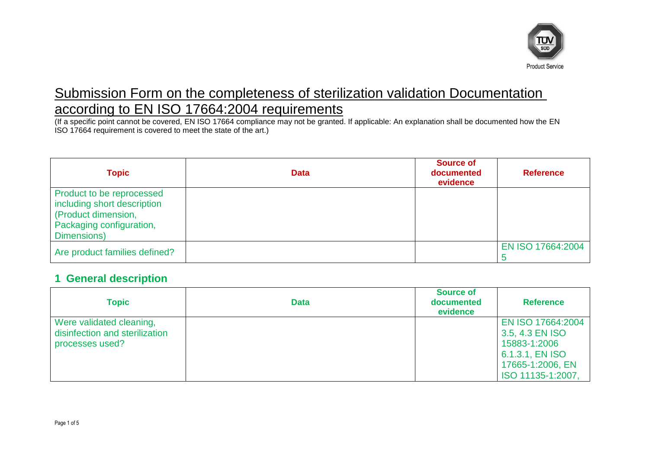

# Submission Form on the completeness of sterilization validation Documentation according to EN ISO 17664:2004 requirements

(If a specific point cannot be covered, EN ISO 17664 compliance may not be granted. If applicable: An explanation shall be documented how the EN ISO 17664 requirement is covered to meet the state of the art.)

| Topic                                                                                                                      | <b>Data</b> | <b>Source of</b><br>documented<br>evidence | <b>Reference</b>  |
|----------------------------------------------------------------------------------------------------------------------------|-------------|--------------------------------------------|-------------------|
| Product to be reprocessed<br>including short description<br>(Product dimension,<br>Packaging configuration,<br>Dimensions) |             |                                            |                   |
| Are product families defined?                                                                                              |             |                                            | EN ISO 17664:2004 |

#### **1 General description**

| <b>Topic</b>                                                                  | <b>Data</b> | <b>Source of</b><br>documented<br>evidence | <b>Reference</b>                                                                                                 |
|-------------------------------------------------------------------------------|-------------|--------------------------------------------|------------------------------------------------------------------------------------------------------------------|
| Were validated cleaning,<br>disinfection and sterilization<br>processes used? |             |                                            | EN ISO 17664:2004<br>3.5, 4.3 EN ISO<br>15883-1:2006<br>6.1.3.1, EN ISO<br>17665-1:2006, EN<br>ISO 11135-1:2007, |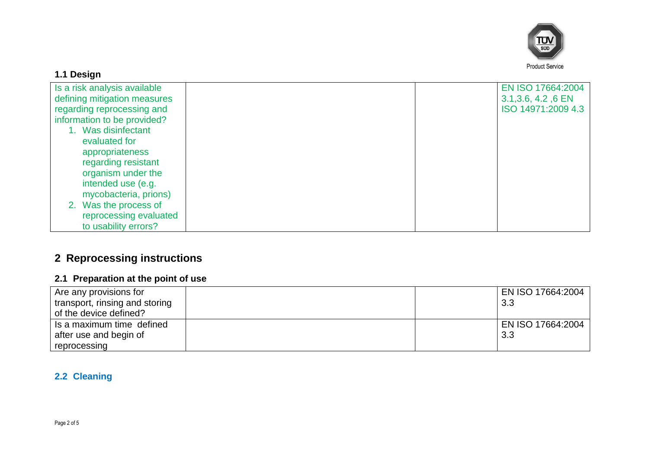

### **1.1 Design**

| Is a risk analysis available |  | EN ISO 17664:2004   |
|------------------------------|--|---------------------|
| defining mitigation measures |  | 3.1, 3.6, 4.2, 6 EN |
| regarding reprocessing and   |  | ISO 14971:2009 4.3  |
| information to be provided?  |  |                     |
| Was disinfectant             |  |                     |
| evaluated for                |  |                     |
| appropriateness              |  |                     |
| regarding resistant          |  |                     |
| organism under the           |  |                     |
| intended use (e.g.           |  |                     |
| mycobacteria, prions)        |  |                     |
| 2. Was the process of        |  |                     |
| reprocessing evaluated       |  |                     |
| to usability errors?         |  |                     |

# **2 Reprocessing instructions**

### **2.1 Preparation at the point of use**

| Are any provisions for<br>transport, rinsing and storing<br>of the device defined? |  | EN ISO 17664:2004<br>3.3 |
|------------------------------------------------------------------------------------|--|--------------------------|
| Is a maximum time defined<br>after use and begin of                                |  | EN ISO 17664:2004<br>3.3 |
| reprocessing                                                                       |  |                          |

### **2.2 Cleaning**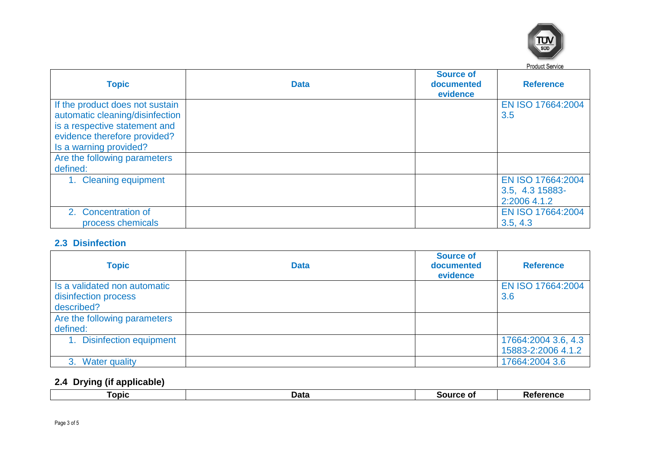

| <b>Topic</b>                                                                                                                                                  | <b>Data</b> | <b>Source of</b><br>documented<br>evidence | <b>I IDUUL OUIVILL</b><br><b>Reference</b>           |
|---------------------------------------------------------------------------------------------------------------------------------------------------------------|-------------|--------------------------------------------|------------------------------------------------------|
| If the product does not sustain<br>automatic cleaning/disinfection<br>is a respective statement and<br>evidence therefore provided?<br>Is a warning provided? |             |                                            | EN ISO 17664:2004<br>3.5                             |
| Are the following parameters<br>defined:                                                                                                                      |             |                                            |                                                      |
| 1. Cleaning equipment                                                                                                                                         |             |                                            | EN ISO 17664:2004<br>3.5, 4.3 15883-<br>2:2006 4.1.2 |
| 2. Concentration of<br>process chemicals                                                                                                                      |             |                                            | EN ISO 17664:2004<br>3.5, 4.3                        |

#### **2.3 Disinfection**

| <b>Topic</b>                                                       | <b>Data</b> | <b>Source of</b><br>documented<br>evidence | <b>Reference</b>                          |
|--------------------------------------------------------------------|-------------|--------------------------------------------|-------------------------------------------|
| Is a validated non automatic<br>disinfection process<br>described? |             |                                            | EN ISO 17664:2004<br>3.6                  |
| Are the following parameters<br>defined:                           |             |                                            |                                           |
| <b>Disinfection equipment</b>                                      |             |                                            | 17664:2004 3.6, 4.3<br>15883-2:2006 4.1.2 |
| 3. Water quality                                                   |             |                                            | 17664:2004 3.6                            |

## **2.4 Drying (if applicable)**

| Data<br><b>ALILOP</b><br>onic<br>.<br>.<br>. .<br>-- |
|------------------------------------------------------|
|------------------------------------------------------|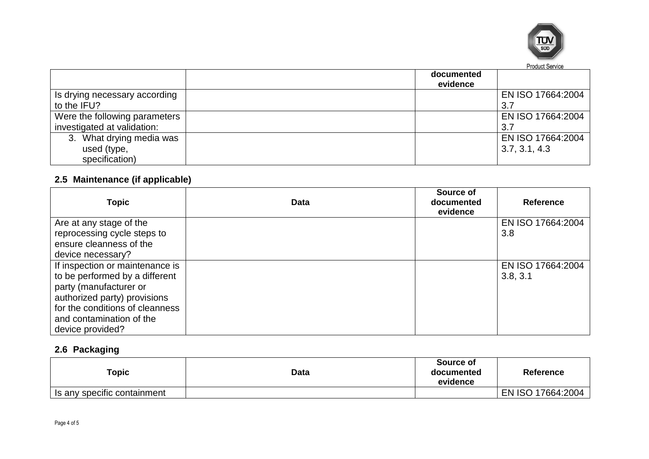

|                               | documented<br>evidence |                   |
|-------------------------------|------------------------|-------------------|
| Is drying necessary according |                        | EN ISO 17664:2004 |
| to the IFU?                   |                        | 3.7               |
| Were the following parameters |                        | EN ISO 17664:2004 |
| investigated at validation:   |                        | 3.7               |
| 3. What drying media was      |                        | EN ISO 17664:2004 |
| used (type,                   |                        | 3.7, 3.1, 4.3     |
| specification)                |                        |                   |

# **2.5 Maintenance (if applicable)**

| <b>Topic</b>                    | <b>Data</b> | Source of<br>documented<br>evidence | <b>Reference</b>  |
|---------------------------------|-------------|-------------------------------------|-------------------|
| Are at any stage of the         |             |                                     | EN ISO 17664:2004 |
| reprocessing cycle steps to     |             |                                     | 3.8               |
| ensure cleanness of the         |             |                                     |                   |
| device necessary?               |             |                                     |                   |
| If inspection or maintenance is |             |                                     | EN ISO 17664:2004 |
| to be performed by a different  |             |                                     | 3.8, 3.1          |
| party (manufacturer or          |             |                                     |                   |
| authorized party) provisions    |             |                                     |                   |
| for the conditions of cleanness |             |                                     |                   |
| and contamination of the        |             |                                     |                   |
| device provided?                |             |                                     |                   |

#### **2.6 Packaging**

| $\tau$ opic                 | <b>Data</b> | Source of<br>documented<br>evidence | <b>Reference</b>  |
|-----------------------------|-------------|-------------------------------------|-------------------|
| Is any specific containment |             |                                     | EN ISO 17664:2004 |